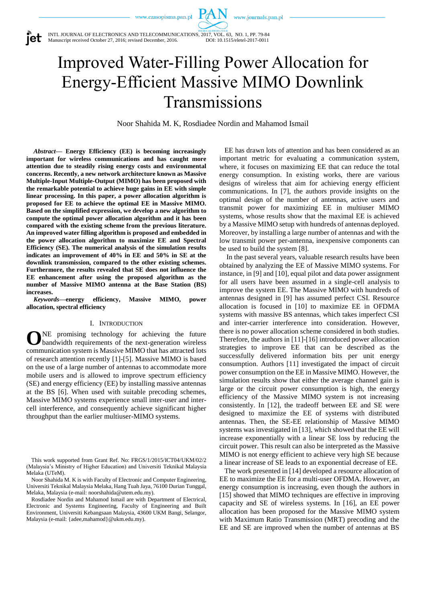www.journals.pan.pl

INTL JOURNAL OF ELECTRONICS AND TELECOMMUNICATIONS, 2017, VOL. 63, NO. 1, PP. 79-84 Manuscript received October 27, 2016; revised December, 2016.

Improved Water-Filling Power Allocation for Energy-Efficient Massive MIMO Downlink Transmissions

Noor Shahida M. K, Rosdiadee Nordin and Mahamod Ismail

*Abstract***— Energy Efficiency (EE) is becoming increasingly important for wireless communications and has caught more attention due to steadily rising energy costs and environmental concerns. Recently, a new network architecture known as Massive Multiple-Input Multiple-Output (MIMO) has been proposed with the remarkable potential to achieve huge gains in EE with simple linear processing. In this paper, a power allocation algorithm is proposed for EE to achieve the optimal EE in Massive MIMO. Based on the simplified expression, we develop a new algorithm to compute the optimal power allocation algorithm and it has been compared with the existing scheme from the previous literature. An improved water filling algorithm is proposed and embedded in the power allocation algorithm to maximize EE and Spectral Efficiency (SE). The numerical analysis of the simulation results indicates an improvement of 40% in EE and 50% in SE at the downlink transmission, compared to the other existing schemes. Furthermore, the results revealed that SE does not influence the EE enhancement after using the proposed algorithm as the number of Massive MIMO antenna at the Base Station (BS) increases.**

*Keywords***—energy efficiency, Massive MIMO, power allocation, spectral efficiency**

#### I. INTRODUCTION

NE promising technology for achieving the future bandwidth requirements of the next-generation wireless communication system is Massive MIMO that has attracted lots of research attention recently [1]-[5]. Massive MIMO is based on the use of a large number of antennas to accommodate more mobile users and is allowed to improve spectrum efficiency (SE) and energy efficiency (EE) by installing massive antennas at the BS [6]. When used with suitable precoding schemes, Massive MIMO systems experience small inter-user and intercell interference, and consequently achieve significant higher throughput than the earlier multiuser-MIMO systems. **O**

EE has drawn lots of attention and has been considered as an important metric for evaluating a communication system, where, it focuses on maximizing EE that can reduce the total energy consumption. In existing works, there are various designs of wireless that aim for achieving energy efficient communications. In [7], the authors provide insights on the optimal design of the number of antennas, active users and transmit power for maximizing EE in multiuser MIMO systems, whose results show that the maximal EE is achieved by a Massive MIMO setup with hundreds of antennas deployed. Moreover, by installing a large number of antennas and with the low transmit power per-antenna, inexpensive components can be used to build the system [8].

In the past several years, valuable research results have been obtained by analyzing the EE of Massive MIMO systems. For instance, in [9] and [10], equal pilot and data power assignment for all users have been assumed in a single-cell analysis to improve the system EE. The Massive MIMO with hundreds of antennas designed in [9] has assumed perfect CSI. Resource allocation is focused in [10] to maximize EE in OFDMA systems with massive BS antennas, which takes imperfect CSI and inter-carrier interference into consideration. However, there is no power allocation scheme considered in both studies. Therefore, the authors in [11]-[16] introduced power allocation strategies to improve EE that can be described as the successfully delivered information bits per unit energy consumption. Authors [11] investigated the impact of circuit power consumption on the EE in Massive MIMO. However, the simulation results show that either the average channel gain is large or the circuit power consumption is high, the energy efficiency of the Massive MIMO system is not increasing consistently. In [12], the tradeoff between EE and SE were designed to maximize the EE of systems with distributed antennas. Then, the SE-EE relationship of Massive MIMO systems was investigated in [13], which showed that the EE will increase exponentially with a linear SE loss by reducing the circuit power. This result can also be interpreted as the Massive MIMO is not energy efficient to achieve very high SE because a linear increase of SE leads to an exponential decrease of EE.

The work presented in [14] developed a resource allocation of EE to maximize the EE for a multi-user OFDMA. However, an energy consumption is increasing, even though the authors in [15] showed that MIMO techniques are effective in improving capacity and SE of wireless systems. In [16], an EE power allocation has been proposed for the Massive MIMO system with Maximum Ratio Transmission (MRT) precoding and the EE and SE are improved when the number of antennas at BS



This work supported from Grant Ref. No: FRGS/1/2015/ICT04/UKM/02/2 (Malaysia's Ministry of Higher Education) and Universiti Teknikal Malaysia Melaka (UTeM).

Noor Shahida M. K is with Faculty of Electronic and Computer Engineering, Universiti Teknikal Malaysia Melaka, Hang Tuah Jaya, 76100 Durian Tunggal, Melaka, Malaysia (e-mail[: noorshahida@utem.edu.my\)](mailto:noorshahida@utem.edu.my).

Rosdiadee Nordin and Mahamod Ismail are with Department of Electrical, Electronic and Systems Engineering, Faculty of Engineering and Built Environment, Universiti Kebangsaan Malaysia, 43600 UKM Bangi, Selangor, Malaysia (e-mail: {adee,mahamod}@ukm.edu.my).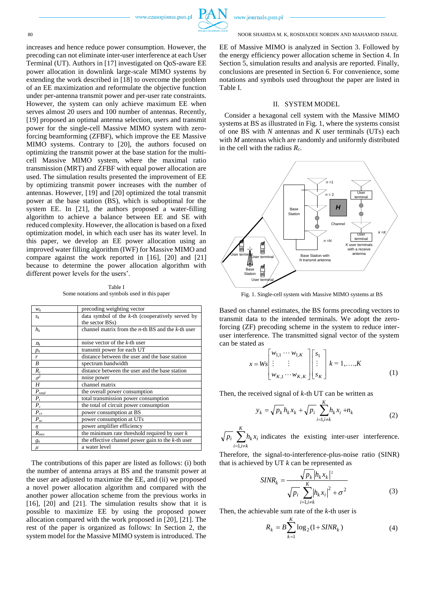

80 NOOR SHAHIDA M. K, ROSDIADEE NORDIN AND MAHAMOD ISMAIL

EE of Massive MIMO is analyzed in Section 3. Followed by the energy efficiency power allocation scheme in Section 4. In Section 5, simulation results and analysis are reported. Finally, conclusions are presented in Section 6. For convenience, some notations and symbols used throughout the paper are listed in Table I.

#### II. SYSTEM MODEL

Consider a hexagonal cell system with the Massive MIMO systems at BS as illustrated in Fig. 1, where the systems consist of one BS with *N* antennas and *K* user terminals (UTs) each with *M* antennas which are randomly and uniformly distributed in the cell with the radius *Rc*.



Fig. 1. Single-cell system with Massive MIMO systems at BS

Based on channel estimates, the BS forms precoding vectors to transmit data to the intended terminals. We adopt the zeroforcing (ZF) precoding scheme in the system to reduce interuser interference. The transmitted signal vector of the system can be stated as

$$
x = Ws\begin{bmatrix} w_{1,1} & \cdots & w_{1,K} \\ \vdots & \vdots & \vdots \\ w_{K,1} & \cdots & w_{K,K} \end{bmatrix} \begin{bmatrix} s_1 \\ \vdots \\ s_K \end{bmatrix} k = 1, ..., K
$$
 (1)

Then, the received signal of *k*-th UT can be written as

$$
y_k = \sqrt{p_k} h_k x_k + \sqrt{p_i} \sum_{i=1, i \neq k}^{K} h_k x_i + n_k
$$
 (2)

 $\sum_{i=1,i\neq i}^{K}$  $i=1, i \neq k$  $p_i$   $\sum_i h_k x_i$  indicates the existing inter-user interference. 1,

Therefore, the signal-to-interference-plus-noise ratio (SINR) that is achieved by UT *k* can be represented as

$$
SINR_k = \frac{\sqrt{p_k} |h_k x_k|^2}{\sqrt{p_i} \sum_{i=1, i \neq k}^{K} |h_k x_i|^2 + \sigma^2}
$$
(3)

Then, the achievable sum rate of the *k*-th user is

$$
R_k = B \sum_{k=1}^{K} \log_2(1 + SINR_k)
$$
 (4)

increases and hence reduce power consumption. However, the precoding can not eliminate inter-user interference at each User Terminal (UT). Authors in [17] investigated on QoS-aware EE power allocation in downlink large-scale MIMO systems by extending the work described in [18] to overcome the problem of an EE maximization and reformulate the objective function under per-antenna transmit power and per-user rate constraints. However, the system can only achieve maximum EE when serves almost 20 users and 100 number of antennas. Recently, [19] proposed an optimal antenna selection, users and transmit power for the single-cell Massive MIMO system with zeroforcing beamforming (ZFBF), which improve the EE Massive MIMO systems. Contrary to [20], the authors focused on optimizing the transmit power at the base station for the multicell Massive MIMO system, where the maximal ratio transmission (MRT) and ZFBF with equal power allocation are used. The simulation results presented the improvement of EE by optimizing transmit power increases with the number of antennas. However, [19] and [20] optimized the total transmit power at the base station (BS), which is suboptimal for the system EE. In [21], the authors proposed a water-filling algorithm to achieve a balance between EE and SE with reduced complexity. However, the allocation is based on a fixed optimization model, in which each user has its water level. In this paper, we develop an EE power allocation using an improved water filling algorithm (IWF) for Massive MIMO and compare against the work reported in [16], [20] and [21] because to determine the power allocation algorithm with different power levels for the users'.

Table I Some notations and symbols used in this paper

| $W_k$                | precoding weighting vector                              |  |
|----------------------|---------------------------------------------------------|--|
| $S_k$                | data symbol of the $k$ -th (cooperatively served by     |  |
|                      | the sector BSs)                                         |  |
| $h_k$                | channel matrix from the $n$ -th BS and the $k$ -th user |  |
|                      |                                                         |  |
| $n_{k}$              | noise vector of the k-th user                           |  |
| $p_k$                | transmit power for each UT                              |  |
| r                    | distance between the user and the base station          |  |
| B                    | spectrum bandwidth                                      |  |
| $\boldsymbol{R}_c$   | distance between the user and the base station          |  |
| $\sigma^2$           | noise power                                             |  |
| H                    | channel matrix                                          |  |
| $P_{\mathit{total}}$ | the overall power consumption                           |  |
| $P_{t}$              | total transmission power consumption                    |  |
| $P_c$                | the total of circuit power consumption                  |  |
| $P_{cx}$             | power consumption at BS                                 |  |
| $P_{uc}$             | power consumption at UTs                                |  |
| η                    | power amplifier efficiency                              |  |
| $R_{\rm min}$        | the minimum rate threshold required by user $k$         |  |
| $g_k$                | the effective channel power gain to the $k$ -th user    |  |
| $\mu$                | a water level                                           |  |

The contributions of this paper are listed as follows: (i) both the number of antenna arrays at BS and the transmit power at the user are adjusted to maximize the EE, and (ii) we proposed a novel power allocation algorithm and compared with the another power allocation scheme from the previous works in [16], [20] and [21]. The simulation results show that it is possible to maximize EE by using the proposed power allocation compared with the work proposed in [20], [21]. The rest of the paper is organized as follows: In Section 2, the system model for the Massive MIMO system is introduced. The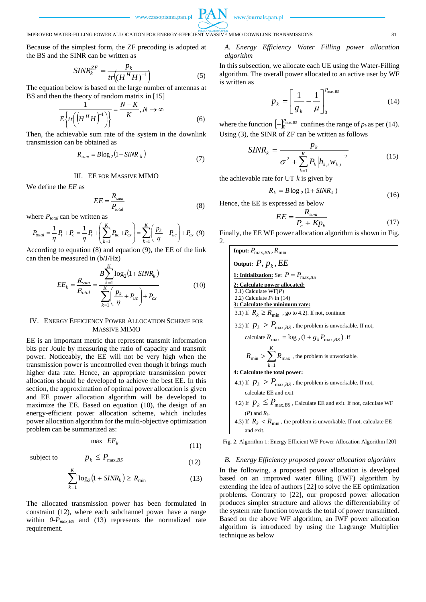

## IMPROVED WATER-FILLING POWER ALLOCATION FOR ENERGY-EFFICIENT MASSIVE MIMO DOWNLINK TRANSMISSIONS 81

Because of the simplest form, the ZF precoding is adopted at the BS and the SINR can be written as

$$
SINR_k^{ZF} = \frac{p_k}{tr\left((H^HH)^{-1}\right)}\tag{5}
$$

The equation below is based on the large number of antennas at BS and then the theory of random matrix in [15]

$$
\frac{1}{E\left\{tr\left(\left(H^H H\right)^{-1}\right)\right\}} = \frac{N - K}{K}, N \to \infty
$$
\n(6)

Then, the achievable sum rate of the system in the downlink transmission can be obtained as

$$
R_{sum} = B \log_2 \left( 1 + SINR_k \right) \tag{7}
$$

# III. EE FOR MASSIVE MIMO

*EE*

We define the *EE* as

$$
EE = \frac{R_{\text{sum}}}{P_{\text{total}}}
$$
 (8)

$$
P_{total} = \frac{1}{\eta} P_t + P_c = \frac{1}{\eta} P_t + \left(\sum_{k=1}^K P_{uc} + P_{cx}\right) = \sum_{k=1}^K \left(\frac{p_k}{\eta} + P_{uc}\right) + P_{cx} \tag{9}
$$

According to equation (8) and equation (9), the EE of the link can then be measured in (b/J/Hz)

$$
EE_{k} = \frac{R_{sum}}{P_{total}} = \frac{B \sum_{k=1}^{K} \log_{2} (1 + SINR_{k})}{\sum_{k=1}^{K} \left(\frac{p_{k}}{\eta} + P_{uc}\right) + P_{cx}}
$$
(10)

### IV. ENERGY EFFICIENCY POWER ALLOCATION SCHEME FOR MASSIVE MIMO

EE is an important metric that represent transmit information bits per Joule by measuring the ratio of capacity and transmit power. Noticeably, the EE will not be very high when the transmission power is uncontrolled even though it brings much higher data rate. Hence, an appropriate transmission power allocation should be developed to achieve the best EE. In this section, the approximation of optimal power allocation is given and EE power allocation algorithm will be developed to maximize the EE. Based on equation (10), the design of an energy-efficient power allocation scheme, which includes power allocation algorithm for the multi-objective optimization problem can be summarized as:

$$
\max\ E E_k \tag{11}
$$

(12)

subject to

$$
\sum_{k=1}^{K} \log_2 \left( 1 + SINR_k \right) \ge R_{\min} \tag{13}
$$

The allocated transmission power has been formulated in constraint (12), where each subchannel power have a range within  $0-P_{max,BS}$  and (13) represents the normalized rate requirement.

 $p_k \leq P_{\text{max},BS}$ 

## *A. Energy Efficiency Water Filling power allocation algorithm*

In this subsection, we allocate each UE using the Water-Filling algorithm. The overall power allocated to an active user by WF is written as

$$
p_{k} = \left[\frac{1}{g_{k}} - \frac{1}{\mu}\right]_{0}^{P_{\text{max,BS}}} \tag{14}
$$

where the function  $\left[-\right]_0^{P_{\text{max},BS}}$  confines the range of  $p_k$  as per (14). Using (3), the SINR of ZF can be written as follows

$$
SINR_{k} = \frac{p_{k}}{\sigma^{2} + \sum_{k=1}^{K} P_{k} |h_{k,i}w_{k,i}|^{2}}
$$
(15)

the achievable rate for UT *k* is given by

$$
R_k = B \log_2 \left(1 + \text{SINR}_k\right) \tag{16}
$$

Hence, the EE is expressed as below

$$
EE = \frac{R_{sum}}{P_c + K p_k}
$$
 (17)

Finally, the EE WF power allocation algorithm is shown in Fig.  $\mathcal{L}$ 

| <b>Input:</b> $P_{\text{max }BS}$ , $R_{\text{min}}$                               |  |  |
|------------------------------------------------------------------------------------|--|--|
| Output: $P, p_k, EE$                                                               |  |  |
| <b>1:</b> Initialization: Set $P = P_{\text{max BS}}$                              |  |  |
| 2: Calculate power allocated:                                                      |  |  |
| $2.1)$ Calculate WF(P)                                                             |  |  |
| 2.2) Calculate $P_k$ in (14)<br>3: Calculate the minimum rate:                     |  |  |
| 3.1) If $R_k \ge R_{\text{min}}$ , go to 4.2). If not, continue                    |  |  |
| 3.2) If $p_k > P_{\text{max.}BS}$ , the problem is unworkable. If not,             |  |  |
| calculate $R_{\text{max}} = \log_2(1 + g_k P_{\text{max RS}})$ If                  |  |  |
| $R_{\min} > \sum_{n=1}^{\infty} R_{\max}$ , the problem is unworkable.<br>$k=1$    |  |  |
| 4: Calculate the total power:                                                      |  |  |
| 4.1) If $p_k > P_{\text{max.}BS}$ , the problem is unworkable. If not,             |  |  |
| calculate EE and exit                                                              |  |  |
| 4.2) If $p_k \leq P_{\text{max.BS}}$ , Calculate EE and exit. If not, calculate WF |  |  |
| $(P)$ and $R_k$ .                                                                  |  |  |
| 4.3) If $R_k < R_{\min}$ , the problem is unworkable. If not, calculate EE         |  |  |
| and exit.                                                                          |  |  |

Fig. 2. Algorithm 1: Energy Efficient WF Power Allocation Algorithm [20]

### *B. Energy Efficiency proposed power allocation algorithm*

In the following, a proposed power allocation is developed based on an improved water filling (IWF) algorithm by extending the idea of authors [22] to solve the EE optimization problems. Contrary to [22], our proposed power allocation produces simpler structure and allows the differentiability of the system rate function towards the total of power transmitted. Based on the above WF algorithm, an IWF power allocation algorithm is introduced by using the Lagrange Multiplier technique as below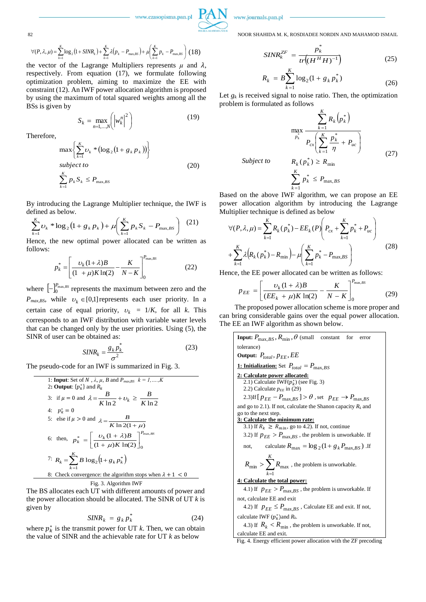

82 NOOR SHAHIDA M. K, ROSDIADEE NORDIN AND MAHAMOD ISMAIL

$$
\forall (P, \lambda, \mu) = \sum_{k=1}^{K} \log_2 \left( 1 + \frac{SINR_k}{k} \right) + \sum_{k=1}^{K} \lambda \left( p_k - P_{\text{max},BS} \right) + \mu \left( \sum_{k=1}^{K} p_k - P_{\text{max},BS} \right) (18)
$$

the vector of the Lagrange Multipliers represents  $\mu$  and  $\lambda$ , respectively. From equation (17), we formulate following optimization problem, aiming to maximize the EE with constraint (12). An IWF power allocation algorithm is proposed by using the maximum of total squared weights among all the BSs is given by

$$
S_k = \max_{n=1,\dots,N} \left( \left| w_k^n \right|^2 \right) \tag{19}
$$

Therefore,

$$
\max \left\{ \sum_{k=1}^{K} \nu_k * (\log_2 (1 + g_k p_k)) \right\}
$$
  
subject to  

$$
\sum_{k=1}^{K} p_k S_k \le P_{\max,BS}
$$
 (20)

By introducing the Lagrange Multiplier technique, the IWF is defined as below.

$$
\sum_{k=1}^{K} v_k * \log_2 (1 + g_k p_k) + \mu \left( \sum_{k=1}^{K} p_k S_k - P_{\text{max,BS}} \right) \tag{21}
$$

Hence, the new optimal power allocated can be written as follows:

$$
p_k^* = \left[ \frac{\nu_k (1 + \lambda) B}{(1 + \mu) K \ln(2)} - \frac{K}{N - K} \right]_0^{P_{\text{max},BS}} \tag{22}
$$

where  $\left[-\right]_0^{P_{\text{max},BS}}$  represents the maximum between zero and the  $P_{max,BS}$ , while  $v_k \in [0,1]$  represents each user priority. In a certain case of equal priority,  $v_k = 1/K$ , for all k. This corresponds to an IWF distribution with variable water levels that can be changed only by the user priorities. Using (5), the SINR of user can be obtained as:

$$
SINR_k = \frac{g_k p_k^*}{\sigma^2} \tag{23}
$$

The pseudo-code for an IWF is summarized in Fig. 3.

1: Input: Set of *N*, 
$$
\lambda
$$
,  $\mu$ , *B* and  $P_{max,BS}$   $k = 1, \ldots, K$   
\n2: Output: { $p_k^*$ } and  $R_k$   
\n3: if  $\mu = 0$  and  $\lambda = \frac{B}{K \ln 2} + \upsilon_k \ge \frac{B}{K \ln 2}$   
\n4:  $p_k^* = 0$   
\n5: else if  $\mu > 0$  and  $\lambda = \frac{B}{K \ln 2(1 + \mu)}$   
\n6: then,  $p_k^* = \left[\frac{\upsilon_k (1 + \lambda)B}{(1 + \mu)K \ln(2)}\right]_0^{\rho_{\max,BS}}$   
\n7:  $R_k = \sum_{k=1}^K B \log_2 \left(1 + g_k p_k^*\right)$   
\n8: Check convergence: the algorithm stops when  $\lambda + 1 < 0$   
\nFig. 3. Algorithm IWF

The BS allocates each UT with different amounts of power and the power allocation should be allocated. The SINR of UT *k* is given by

$$
SINR_k = g_k p_k^* \tag{24}
$$

where  $p_k^*$  is the transmit power for UT *k*. Then, we can obtain the value of SINR and the achievable rate for UT *k* as below

$$
SINR_k^{ZF} = \frac{p_k^*}{tr\left((H^HH)^{-1}\right)}\tag{25}
$$

$$
R_k = B \sum_{k=1}^{K} \log_2(1 + g_k p_k^*)
$$
 (26)

Let  $g_k$  is received signal to noise ratio. Then, the optimization problem is formulated as follows

$$
\max_{p_k} \frac{\sum_{k=1}^{K} R_k (p_k^*)}{P_{cx} \left(\sum_{k=1}^{K} \frac{p_k^*}{\eta} + P_{uc}\right)}
$$
\n
$$
Subject to \qquad R_k (p_k^*) \ge R_{min}
$$
\n
$$
\frac{K}{\eta} \tag{27}
$$

$$
\sum_{k=1}^K p_k^* \le P_{\max,BS}
$$

Based on the above IWF algorithm, we can propose an EE power allocation algorithm by introducing the Lagrange Multiplier technique is defined as below

$$
\forall (P, \lambda, \mu) = \sum_{k=1}^{K} R_k (p_k^*) - E E_k (P) \left( P_{cx} + \sum_{k=1}^{K} p_k^* + P_{uc} \right) + \sum_{k=1}^{K} \lambda \left( R_k (p_k^*) - R_{min} \right) - \mu \left( \sum_{k=1}^{K} p_k^* - P_{max,BS} \right)
$$
(28)

Hence, the EE power allocated can be written as follows:

$$
p_{EE} = \left[ \frac{\nu_k (1 + \lambda) B}{(EE_k + \mu) K \ln(2)} - \frac{K}{N - K} \right]_0^{P_{\text{max},BS}} \tag{29}
$$

The proposed power allocation scheme is more proper and can bring considerable gains over the equal power allocation. The EE an IWF algorithm as shown below.

| <b>Input:</b> $P_{\text{max.BS}}$ , $R_{\text{min}}$ , $\theta$ (small constant for<br>error                              |  |  |  |  |
|---------------------------------------------------------------------------------------------------------------------------|--|--|--|--|
| tolerance)                                                                                                                |  |  |  |  |
| Output: $P_{total}$ , $p_{EE}$ , $EE$                                                                                     |  |  |  |  |
| <b>1: Initialization:</b> Set $P_{total} = P_{\text{max.BS}}$                                                             |  |  |  |  |
| 2: Calculate power allocated:<br>2.1) Calculate IWF $(p_k^*)$ (see Fig. 3)<br>2.2) Calculate $p_{EE}$ in (29)             |  |  |  |  |
| 2.3)If $[p_{EE} - P_{\text{max},BS}] > \theta$ , set $p_{EE} \rightarrow P_{\text{max},BS}$                               |  |  |  |  |
| and go to 2.1). If not, calculate the Shanon capacity $R_k$ and<br>go to the next step.<br>3: Calculate the minimum rate: |  |  |  |  |
| 3.1) If $R_k \ge R_{min}$ , go to 4.2). If not, continue                                                                  |  |  |  |  |
| 3.2) If $p_{EE} > P_{\text{max,BS}}$ , the problem is unworkable. If                                                      |  |  |  |  |
| calculate $R_{\text{max}} = \log_2(1 + g_k P_{\text{max RS}})$ . If<br>not,                                               |  |  |  |  |
| $R_{\min} > \sum_{n=1}^{N} R_{\max}$ , the problem is unworkable.<br>$k=1$                                                |  |  |  |  |
| 4: Calculate the total power:                                                                                             |  |  |  |  |
| 4.1) If $p_{EE} > P_{\text{max},BS}$ , the problem is unworkable. If                                                      |  |  |  |  |
| not, calculate EE and exit                                                                                                |  |  |  |  |
| 4.2) If $p_{EE} \le P_{\text{max},BS}$ , Calculate EE and exit. If not,                                                   |  |  |  |  |
| calculate IWF $(p_k^*)$ and $R_k$ .                                                                                       |  |  |  |  |
| 4.3) If $R_k < R_{\min}$ , the problem is unworkable. If not,                                                             |  |  |  |  |
| calculate EE and exit.                                                                                                    |  |  |  |  |

Fig. 4. Energy efficient power allocation with the ZF precoding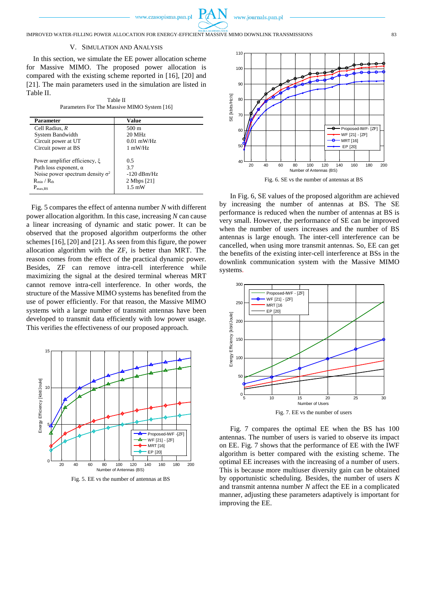

IMPROVED WATER-FILLING POWER ALLOCATION FOR ENERGY-EFFICIENT MASSIVE MIMO DOWNLINK TRANSMISSIONS 83

#### V. SIMULATION AND ANALYSIS

In this section, we simulate the EE power allocation scheme for Massive MIMO. The proposed power allocation is compared with the existing scheme reported in [16], [20] and [21]. The main parameters used in the simulation are listed in Table II.

| Table II                                    |  |  |  |
|---------------------------------------------|--|--|--|
| Parameters For The Massive MIMO System [16] |  |  |  |

| <b>Parameter</b>                                                                                                                                                      | <b>Value</b>                                                  |
|-----------------------------------------------------------------------------------------------------------------------------------------------------------------------|---------------------------------------------------------------|
| Cell Radius, R                                                                                                                                                        | $500 \text{ m}$                                               |
| System Bandwidth                                                                                                                                                      | $20$ MHz                                                      |
| Circuit power at UT                                                                                                                                                   | $0.01$ mW/Hz                                                  |
| Circuit power at BS                                                                                                                                                   | $1 \text{ mW/Hz}$                                             |
| Power amplifier efficiency, ξ<br>Path loss exponent, $\alpha$<br>Noise power spectrum density $\sigma^2$<br>$R_{\text{min}}$ / $R_{\text{th}}$<br>$P_{\text{max,BS}}$ | 0.5<br>37<br>$-120$ dBm/Hz<br>2 Mbps [21]<br>$1.5 \text{ mW}$ |

Fig. 5 compares the effect of antenna number *N* with different power allocation algorithm. In this case, increasing *N* can cause a linear increasing of dynamic and static power. It can be observed that the proposed algorithm outperforms the other schemes [16], [20] and [21]. As seen from this figure, the power allocation algorithm with the ZF, is better than MRT. The reason comes from the effect of the practical dynamic power. Besides, ZF can remove intra-cell interference while maximizing the signal at the desired terminal whereas MRT cannot remove intra-cell interference. In other words, the structure of the Massive MIMO systems has benefited from the use of power efficiently. For that reason, the Massive MIMO systems with a large number of transmit antennas have been developed to transmit data efficiently with low power usage. This verifies the effectiveness of our proposed approach.



Fig. 5. EE vs the number of antennas at BS



In Fig. 6, SE values of the proposed algorithm are achieved by increasing the number of antennas at BS. The SE performance is reduced when the number of antennas at BS is very small. However, the performance of SE can be improved when the number of users increases and the number of BS antennas is large enough. The inter-cell interference can be cancelled, when using more transmit antennas. So, EE can get the benefits of the existing inter-cell interference at BSs in the downlink communication system with the Massive MIMO systems.



Fig. 7 compares the optimal EE when the BS has 100 antennas. The number of users is varied to observe its impact on EE. Fig. 7 shows that the performance of EE with the IWF algorithm is better compared with the existing scheme. The optimal EE increases with the increasing of a number of users. This is because more multiuser diversity gain can be obtained by opportunistic scheduling. Besides, the number of users *K* and transmit antenna number *N* affect the EE in a complicated manner, adjusting these parameters adaptively is important for improving the EE.